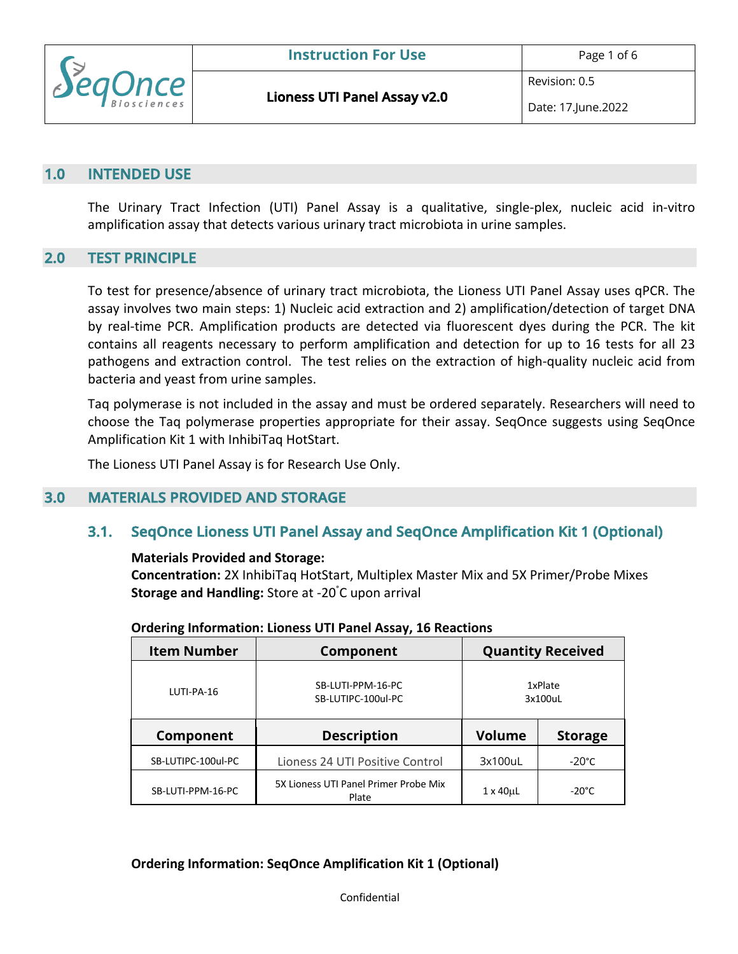

Revision: 0.5

#### **1.0 INTENDED USE**

The Urinary Tract Infection (UTI) Panel Assay is a qualitative, single-plex, nucleic acid in-vitro amplification assay that detects various urinary tract microbiota in urine samples.

#### **2.0 TEST PRINCIPLE**

To test for presence/absence of urinary tract microbiota, the Lioness UTI Panel Assay uses qPCR. The assay involves two main steps: 1) Nucleic acid extraction and 2) amplification/detection of target DNA by real-time PCR. Amplification products are detected via fluorescent dyes during the PCR. The kit contains all reagents necessary to perform amplification and detection for up to 16 tests for all 23 pathogens and extraction control. The test relies on the extraction of high-quality nucleic acid from bacteria and yeast from urine samples.

Taq polymerase is not included in the assay and must be ordered separately. Researchers will need to choose the Taq polymerase properties appropriate for their assay. SeqOnce suggests using SeqOnce Amplification Kit 1 with InhibiTaq HotStart.

The Lioness UTI Panel Assay is for Research Use Only.

### **3.0 MATERIALS PROVIDED AND STORAGE**

## **3.1. SeqOnce Lioness UTI Panel Assay and SeqOnce Amplification Kit 1 (Optional)**

#### **Materials Provided and Storage:**

**Concentration:** 2X InhibiTaq HotStart, Multiplex Master Mix and 5X Primer/Probe Mixes **Storage and Handling:** Store at -20° C upon arrival

| <b>Item Number</b> | Component                                      |                  | <b>Quantity Received</b> |
|--------------------|------------------------------------------------|------------------|--------------------------|
| LUTI-PA-16         | SB-LUTI-PPM-16-PC<br>SB-LUTIPC-100ul-PC        |                  | 1xPlate<br>3x100uL       |
| Component          | <b>Description</b>                             | <b>Volume</b>    | <b>Storage</b>           |
| SB-LUTIPC-100ul-PC | Lioness 24 UTI Positive Control                | 3x100uL          | $-20^{\circ}$ C          |
| SB-LUTI-PPM-16-PC  | 5X Lioness UTI Panel Primer Probe Mix<br>Plate | $1 \times 40$ uL | $-20^{\circ}$ C          |

#### **Ordering Information: Lioness UTI Panel Assay, 16 Reactions**

**Ordering Information: SeqOnce Amplification Kit 1 (Optional)**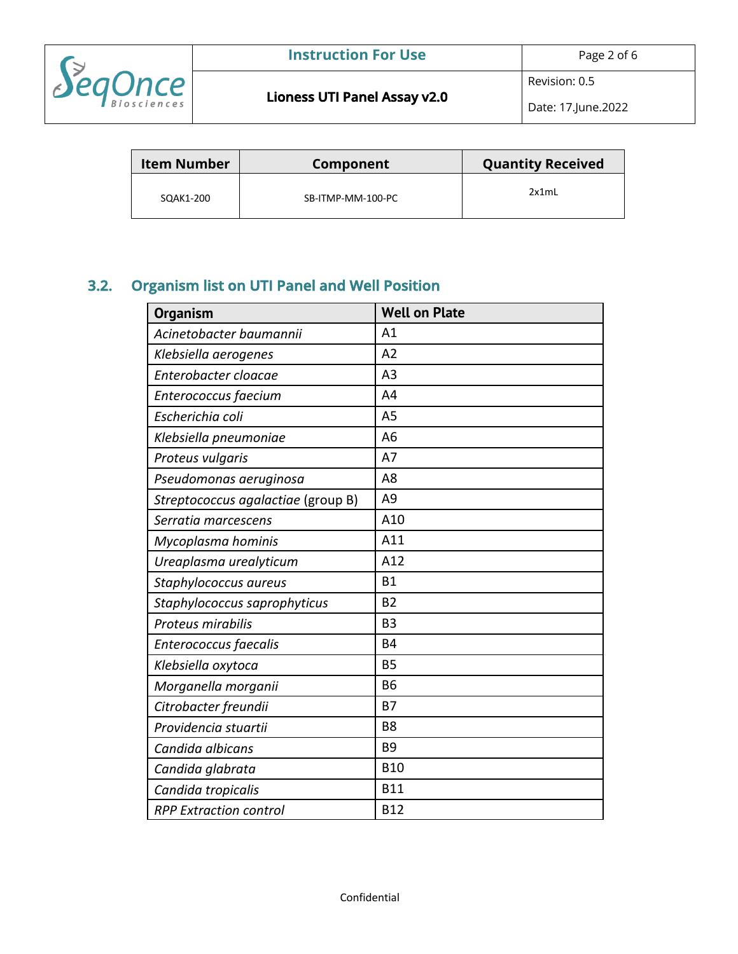

Revision: 0.5

Date: 17.June.2022

| <b>Item Number</b> | Component         | <b>Quantity Received</b> |
|--------------------|-------------------|--------------------------|
| SQAK1-200          | SB-ITMP-MM-100-PC | 2x1mL                    |

# **3.2. Organism list on UTI Panel and Well Position**

| <b>Organism</b>                    | <b>Well on Plate</b> |
|------------------------------------|----------------------|
| Acinetobacter baumannii            | A1                   |
| Klebsiella aerogenes               | A <sub>2</sub>       |
| Enterobacter cloacae               | A <sub>3</sub>       |
| Enterococcus faecium               | A <sub>4</sub>       |
| Escherichia coli                   | A <sub>5</sub>       |
| Klebsiella pneumoniae              | A <sub>6</sub>       |
| Proteus vulgaris                   | A7                   |
| Pseudomonas aeruginosa             | A <sub>8</sub>       |
| Streptococcus agalactiae (group B) | A <sub>9</sub>       |
| Serratia marcescens                | A10                  |
| Mycoplasma hominis                 | A11                  |
| Ureaplasma urealyticum             | A12                  |
| Staphylococcus aureus              | <b>B1</b>            |
| Staphylococcus saprophyticus       | <b>B2</b>            |
| Proteus mirabilis                  | B <sub>3</sub>       |
| Enterococcus faecalis              | <b>B4</b>            |
| Klebsiella oxytoca                 | <b>B5</b>            |
| Morganella morganii                | <b>B6</b>            |
| Citrobacter freundii               | <b>B7</b>            |
| Providencia stuartii               | B <sub>8</sub>       |
| Candida albicans                   | <b>B9</b>            |
| Candida glabrata                   | <b>B10</b>           |
| Candida tropicalis                 | <b>B11</b>           |
| <b>RPP Extraction control</b>      | <b>B12</b>           |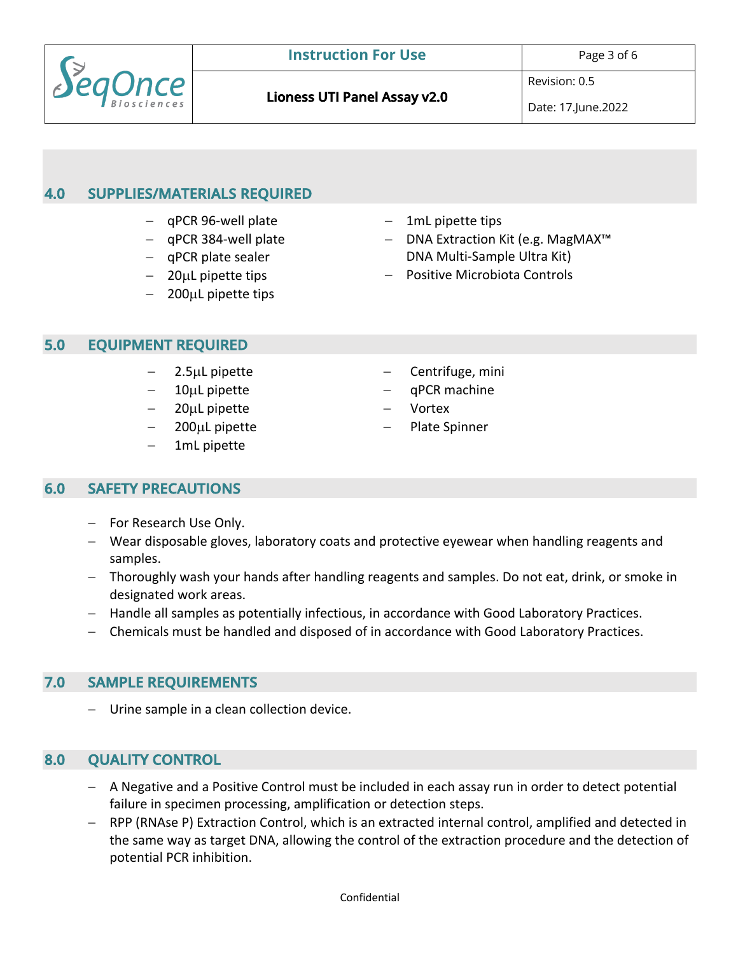

**Lioness UTI Panel Assay v2.0** 

## **4.0 SUPPLIES/MATERIALS REQUIRED**

- qPCR 96-well plate
- qPCR 384-well plate
- qPCR plate sealer
- 20µL pipette tips
- $-$  200 $\mu$ L pipette tips
- 1mL pipette tips
- DNA Extraction Kit (e.g. MagMAX™ DNA Multi-Sample Ultra Kit)
- Positive Microbiota Controls

### **5.0 EQUIPMENT REQUIRED**

- 2.5µL pipette
- $10\mu$ L pipette
- 20µL pipette
- 200µL pipette
- 1mL pipette
- Centrifuge, mini
- qPCR machine
- **Vortex**
- Plate Spinner

### **6.0 SAFETY PRECAUTIONS**

- For Research Use Only.
- Wear disposable gloves, laboratory coats and protective eyewear when handling reagents and samples.
- Thoroughly wash your hands after handling reagents and samples. Do not eat, drink, or smoke in designated work areas.
- Handle all samples as potentially infectious, in accordance with Good Laboratory Practices.
- Chemicals must be handled and disposed of in accordance with Good Laboratory Practices.

### **7.0 SAMPLE REQUIREMENTS**

- Urine sample in a clean collection device.

## **8.0 QUALITY CONTROL**

- A Negative and a Positive Control must be included in each assay run in order to detect potential failure in specimen processing, amplification or detection steps.
- RPP (RNAse P) Extraction Control, which is an extracted internal control, amplified and detected in the same way as target DNA, allowing the control of the extraction procedure and the detection of potential PCR inhibition.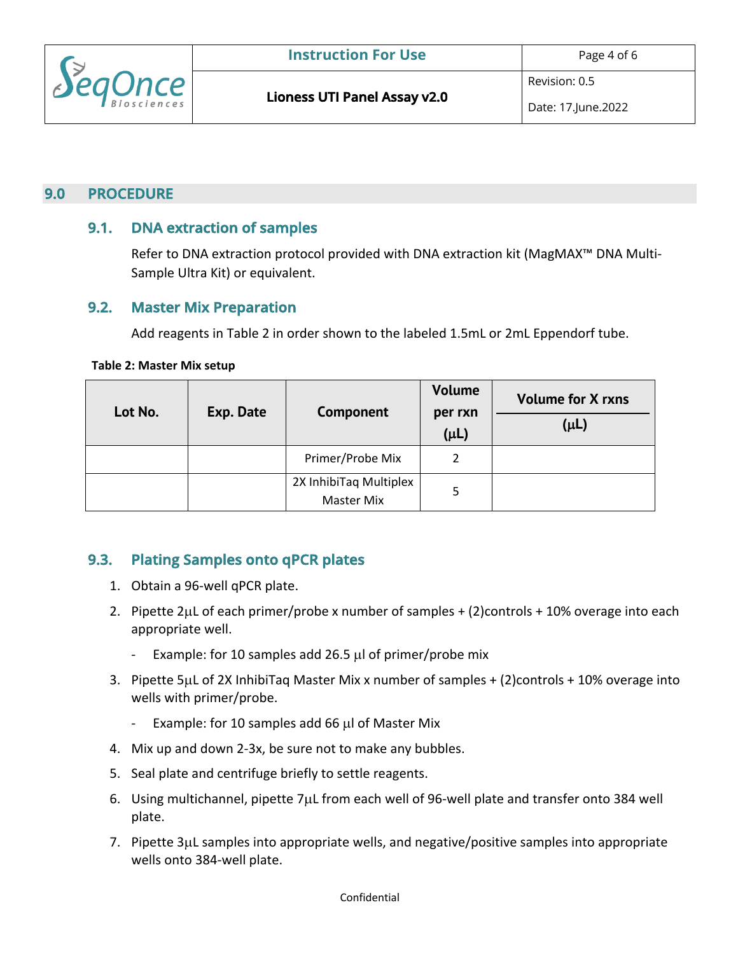

## **9.0 PROCEDURE**

## **9.1. DNA extraction of samples**

Refer to DNA extraction protocol provided with DNA extraction kit (MagMAX™ DNA Multi-Sample Ultra Kit) or equivalent.

### **9.2. Master Mix Preparation**

Add reagents in Table 2 in order shown to the labeled 1.5mL or 2mL Eppendorf tube.

#### **Table 2: Master Mix setup**

| Lot No. | Exp. Date | Component                                   | <b>Volume</b><br>per rxn<br>$(\mu L)$ | <b>Volume for X rxns</b><br>$(\mu L)$ |
|---------|-----------|---------------------------------------------|---------------------------------------|---------------------------------------|
|         |           | Primer/Probe Mix                            | 2                                     |                                       |
|         |           | 2X InhibiTaq Multiplex<br><b>Master Mix</b> | 5                                     |                                       |

## **9.3. Plating Samples onto qPCR plates**

- 1. Obtain a 96-well qPCR plate.
- 2. Pipette 2µL of each primer/probe x number of samples + (2)controls + 10% overage into each appropriate well.
	- Example: for 10 samples add 26.5 µl of primer/probe mix
- 3. Pipette 5µL of 2X InhibiTaq Master Mix x number of samples + (2)controls + 10% overage into wells with primer/probe.
	- Example: for 10 samples add 66 µl of Master Mix
- 4. Mix up and down 2-3x, be sure not to make any bubbles.
- 5. Seal plate and centrifuge briefly to settle reagents.
- 6. Using multichannel, pipette 7µL from each well of 96-well plate and transfer onto 384 well plate.
- 7. Pipette 3µL samples into appropriate wells, and negative/positive samples into appropriate wells onto 384-well plate.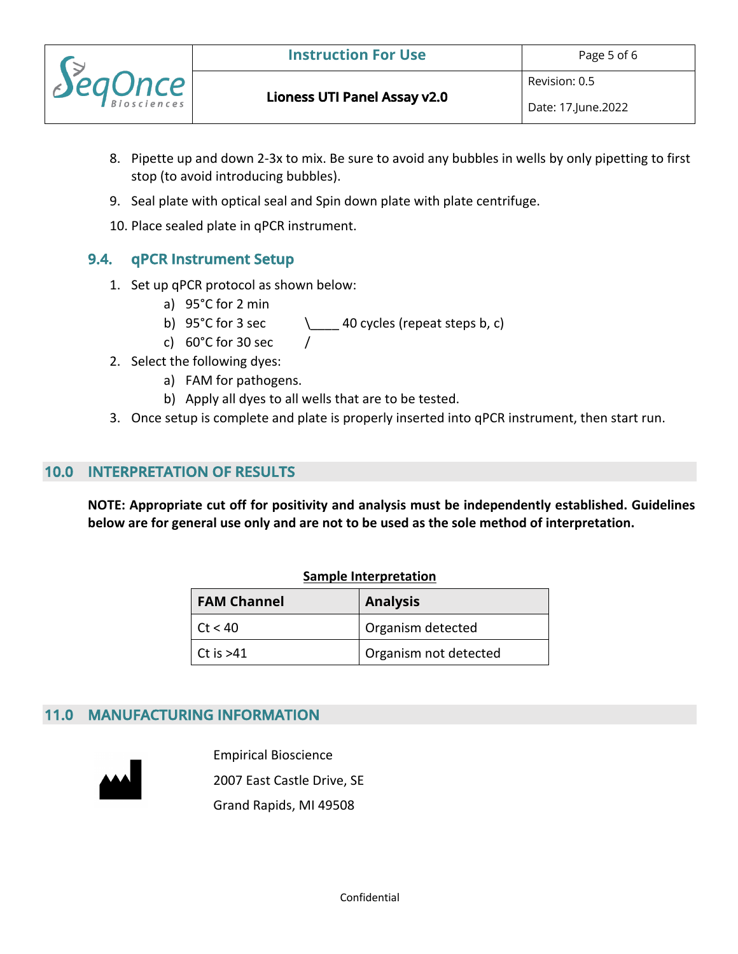

Revision: 0.5

- 8. Pipette up and down 2-3x to mix. Be sure to avoid any bubbles in wells by only pipetting to first stop (to avoid introducing bubbles).
- 9. Seal plate with optical seal and Spin down plate with plate centrifuge.
- 10. Place sealed plate in qPCR instrument.

## **9.4. qPCR Instrument Setup**

- 1. Set up qPCR protocol as shown below:
	- a) 95°C for 2 min
	- b) 95°C for 3 sec  $\_\_\_$  40 cycles (repeat steps b, c)
	- c)  $60^{\circ}$ C for 30 sec
- 2. Select the following dyes:
	- a) FAM for pathogens.
	- b) Apply all dyes to all wells that are to be tested.
- 3. Once setup is complete and plate is properly inserted into qPCR instrument, then start run.

## **10.0 INTERPRETATION OF RESULTS**

**NOTE: Appropriate cut off for positivity and analysis must be independently established. Guidelines below are for general use only and are not to be used as the sole method of interpretation.**

#### **Sample Interpretation**

| <b>FAM Channel</b> | <b>Analysis</b>       |
|--------------------|-----------------------|
| Ct < 40            | Organism detected     |
| $\vert$ Ct is >41  | Organism not detected |

### **11.0 MANUFACTURING INFORMATION**



Empirical Bioscience 2007 East Castle Drive, SE Grand Rapids, MI 49508